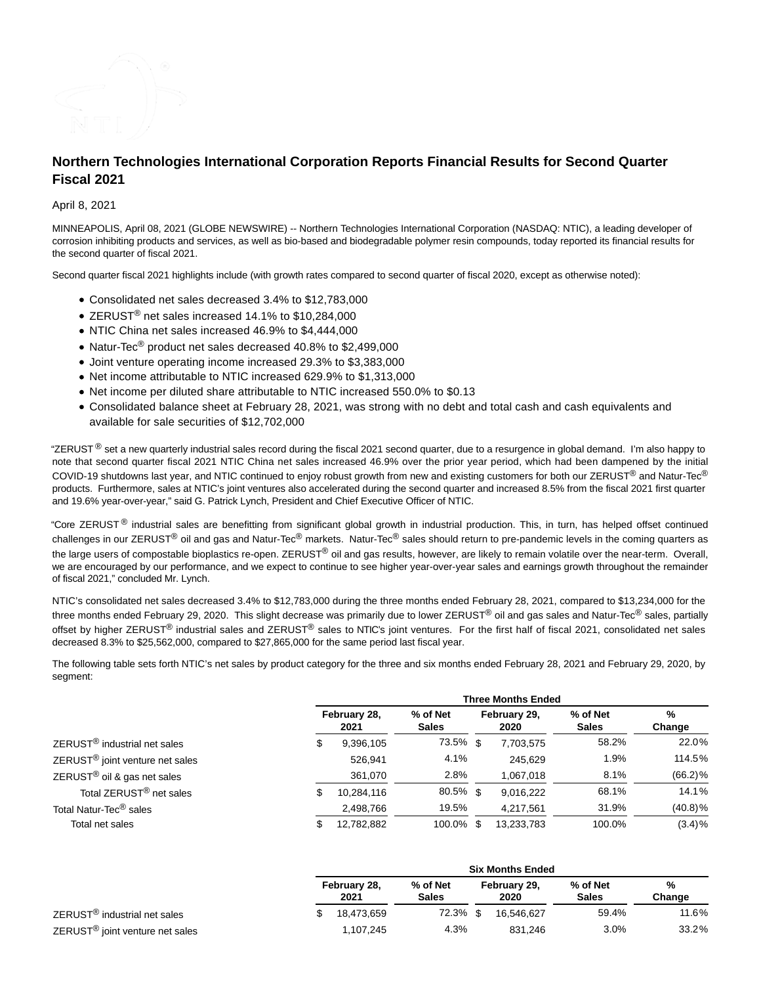

# **Northern Technologies International Corporation Reports Financial Results for Second Quarter Fiscal 2021**

## April 8, 2021

MINNEAPOLIS, April 08, 2021 (GLOBE NEWSWIRE) -- Northern Technologies International Corporation (NASDAQ: NTIC), a leading developer of corrosion inhibiting products and services, as well as bio-based and biodegradable polymer resin compounds, today reported its financial results for the second quarter of fiscal 2021.

Second quarter fiscal 2021 highlights include (with growth rates compared to second quarter of fiscal 2020, except as otherwise noted):

- Consolidated net sales decreased 3.4% to \$12,783,000
- ZERUST<sup>®</sup> net sales increased 14.1% to \$10,284,000
- NTIC China net sales increased 46.9% to \$4,444,000
- Natur-Tec<sup>®</sup> product net sales decreased 40.8% to \$2,499,000
- Joint venture operating income increased 29.3% to \$3,383,000
- Net income attributable to NTIC increased 629.9% to \$1,313,000
- Net income per diluted share attributable to NTIC increased 550.0% to \$0.13
- Consolidated balance sheet at February 28, 2021, was strong with no debt and total cash and cash equivalents and available for sale securities of \$12,702,000

"ZERUST  $^{\circ}$  set a new quarterly industrial sales record during the fiscal 2021 second quarter, due to a resurgence in global demand. I'm also happy to note that second quarter fiscal 2021 NTIC China net sales increased 46.9% over the prior year period, which had been dampened by the initial COVID-19 shutdowns last year, and NTIC continued to enjoy robust growth from new and existing customers for both our ZERUST<sup>®</sup> and Natur-Tec® products. Furthermore, sales at NTIC's joint ventures also accelerated during the second quarter and increased 8.5% from the fiscal 2021 first quarter and 19.6% year-over-year," said G. Patrick Lynch, President and Chief Executive Officer of NTIC.

"Core ZERUST<sup>®</sup> industrial sales are benefitting from significant global growth in industrial production. This, in turn, has helped offset continued challenges in our ZERUST® oil and gas and Natur-Tec® markets. Natur-Tec® sales should return to pre-pandemic levels in the coming quarters as the large users of compostable bioplastics re-open. ZERUST® oil and gas results, however, are likely to remain volatile over the near-term. Overall, we are encouraged by our performance, and we expect to continue to see higher year-over-year sales and earnings growth throughout the remainder of fiscal 2021," concluded Mr. Lynch.

NTIC's consolidated net sales decreased 3.4% to \$12,783,000 during the three months ended February 28, 2021, compared to \$13,234,000 for the three months ended February 29, 2020. This slight decrease was primarily due to lower ZERUST<sup>®</sup> oil and gas sales and Natur-Tec<sup>®</sup> sales, partially offset by higher ZERUST<sup>®</sup> industrial sales and ZERUST<sup>®</sup> sales to NTIC's joint ventures. For the first half of fiscal 2021, consolidated net sales decreased 8.3% to \$25,562,000, compared to \$27,865,000 for the same period last fiscal year.

The following table sets forth NTIC's net sales by product category for the three and six months ended February 28, 2021 and February 29, 2020, by segment:

|                                             | <b>Three Months Ended</b> |            |                          |                      |            |                          |             |  |
|---------------------------------------------|---------------------------|------------|--------------------------|----------------------|------------|--------------------------|-------------|--|
|                                             | February 28,<br>2021      |            | % of Net<br><b>Sales</b> | February 29,<br>2020 |            | % of Net<br><b>Sales</b> | %<br>Change |  |
| ZERUST <sup>®</sup> industrial net sales    | \$                        | 9,396,105  | 73.5% \$                 |                      | 7,703,575  | 58.2%                    | 22.0%       |  |
| ZERUST <sup>®</sup> joint venture net sales |                           | 526,941    | 4.1%                     |                      | 245,629    | 1.9%                     | 114.5%      |  |
| ZERUST <sup>®</sup> oil & gas net sales     |                           | 361,070    | 2.8%                     |                      | 1,067,018  | 8.1%                     | $(66.2)$ %  |  |
| Total ZERUST <sup>®</sup> net sales         | \$                        | 10,284,116 | 80.5% \$                 |                      | 9,016,222  | 68.1%                    | 14.1%       |  |
| Total Natur-Tec <sup>®</sup> sales          |                           | 2,498,766  | 19.5%                    |                      | 4,217,561  | 31.9%                    | $(40.8)\%$  |  |
| Total net sales                             | S                         | 12,782,882 | 100.0% \$                |                      | 13,233,783 | 100.0%                   | $(3.4)\%$   |  |

|                                             |                      | <b>Six Months Ended</b> |                          |  |                      |                          |             |  |
|---------------------------------------------|----------------------|-------------------------|--------------------------|--|----------------------|--------------------------|-------------|--|
|                                             | February 28,<br>2021 |                         | % of Net<br><b>Sales</b> |  | February 29,<br>2020 | % of Net<br><b>Sales</b> | %<br>Change |  |
| ZERUST <sup>®</sup> industrial net sales    |                      | 18.473.659              | $72.3\%$ \$              |  | 16.546.627           | 59.4%                    | 11.6%       |  |
| ZERUST <sup>®</sup> joint venture net sales |                      | 1.107.245               | 4.3%                     |  | 831.246              | 3.0%                     | 33.2%       |  |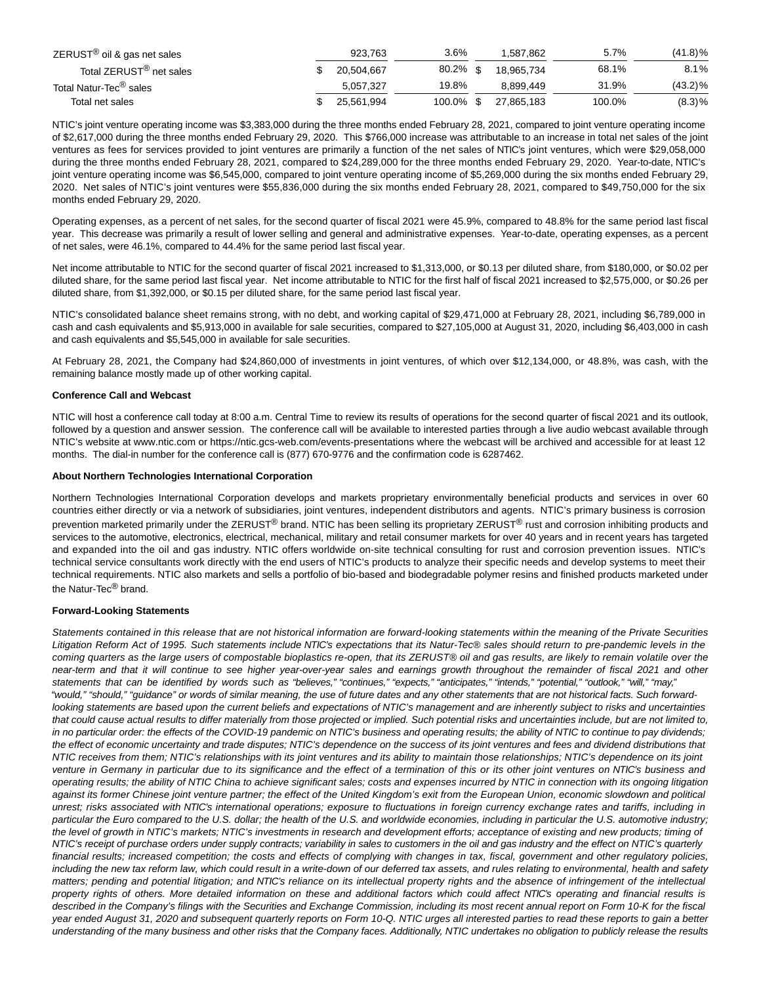| $ZERUST^{\circledR}$ oil & gas net sales | 923.763    | $3.6\%$     | 1.587.862  | 5.7%   | $(41.8)\%$ |
|------------------------------------------|------------|-------------|------------|--------|------------|
| Total ZERUST <sup>®</sup> net sales      | 20.504.667 | $80.2\%$ \$ | 18.965.734 | 68.1%  | 8.1%       |
| Total Natur-Tec <sup>®</sup> sales       | 5.057.327  | 19.8%       | 8.899.449  | 31.9%  | $(43.2)\%$ |
| Total net sales                          | 25.561.994 | 100.0% \$   | 27.865.183 | 100.0% | (8.3)%     |

NTIC's joint venture operating income was \$3,383,000 during the three months ended February 28, 2021, compared to joint venture operating income of \$2,617,000 during the three months ended February 29, 2020. This \$766,000 increase was attributable to an increase in total net sales of the joint ventures as fees for services provided to joint ventures are primarily a function of the net sales of NTIC's joint ventures, which were \$29,058,000 during the three months ended February 28, 2021, compared to \$24,289,000 for the three months ended February 29, 2020. Year-to-date, NTIC's joint venture operating income was \$6,545,000, compared to joint venture operating income of \$5,269,000 during the six months ended February 29, 2020. Net sales of NTIC's joint ventures were \$55,836,000 during the six months ended February 28, 2021, compared to \$49,750,000 for the six months ended February 29, 2020.

Operating expenses, as a percent of net sales, for the second quarter of fiscal 2021 were 45.9%, compared to 48.8% for the same period last fiscal year. This decrease was primarily a result of lower selling and general and administrative expenses. Year-to-date, operating expenses, as a percent of net sales, were 46.1%, compared to 44.4% for the same period last fiscal year.

Net income attributable to NTIC for the second quarter of fiscal 2021 increased to \$1,313,000, or \$0.13 per diluted share, from \$180,000, or \$0.02 per diluted share, for the same period last fiscal year. Net income attributable to NTIC for the first half of fiscal 2021 increased to \$2,575,000, or \$0.26 per diluted share, from \$1,392,000, or \$0.15 per diluted share, for the same period last fiscal year.

NTIC's consolidated balance sheet remains strong, with no debt, and working capital of \$29,471,000 at February 28, 2021, including \$6,789,000 in cash and cash equivalents and \$5,913,000 in available for sale securities, compared to \$27,105,000 at August 31, 2020, including \$6,403,000 in cash and cash equivalents and \$5,545,000 in available for sale securities.

At February 28, 2021, the Company had \$24,860,000 of investments in joint ventures, of which over \$12,134,000, or 48.8%, was cash, with the remaining balance mostly made up of other working capital.

### **Conference Call and Webcast**

NTIC will host a conference call today at 8:00 a.m. Central Time to review its results of operations for the second quarter of fiscal 2021 and its outlook, followed by a question and answer session. The conference call will be available to interested parties through a live audio webcast available through NTIC's website at www.ntic.com or https://ntic.gcs-web.com/events-presentations where the webcast will be archived and accessible for at least 12 months. The dial-in number for the conference call is (877) 670-9776 and the confirmation code is 6287462.

### **About Northern Technologies International Corporation**

Northern Technologies International Corporation develops and markets proprietary environmentally beneficial products and services in over 60 countries either directly or via a network of subsidiaries, joint ventures, independent distributors and agents. NTIC's primary business is corrosion prevention marketed primarily under the ZERUST® brand. NTIC has been selling its proprietary ZERUST® rust and corrosion inhibiting products and services to the automotive, electronics, electrical, mechanical, military and retail consumer markets for over 40 years and in recent years has targeted and expanded into the oil and gas industry. NTIC offers worldwide on-site technical consulting for rust and corrosion prevention issues. NTIC's technical service consultants work directly with the end users of NTIC's products to analyze their specific needs and develop systems to meet their technical requirements. NTIC also markets and sells a portfolio of bio-based and biodegradable polymer resins and finished products marketed under the Natur-Tec<sup>®</sup> brand.

### **Forward-Looking Statements**

Statements contained in this release that are not historical information are forward-looking statements within the meaning of the Private Securities Litigation Reform Act of 1995. Such statements include NTIC's expectations that its Natur-Tec® sales should return to pre-pandemic levels in the coming quarters as the large users of compostable bioplastics re-open, that its ZERUST® oil and gas results, are likely to remain volatile over the near-term and that it will continue to see higher year-over-year sales and earnings growth throughout the remainder of fiscal 2021 and other statements that can be identified by words such as "believes," "continues," "expects," "anticipates," "intends," "potential," "outlook," "will," "may," "would," "should," "guidance" or words of similar meaning, the use of future dates and any other statements that are not historical facts. Such forwardlooking statements are based upon the current beliefs and expectations of NTIC's management and are inherently subject to risks and uncertainties that could cause actual results to differ materially from those projected or implied. Such potential risks and uncertainties include, but are not limited to, in no particular order: the effects of the COVID-19 pandemic on NTIC's business and operating results; the ability of NTIC to continue to pay dividends; the effect of economic uncertainty and trade disputes; NTIC's dependence on the success of its joint ventures and fees and dividend distributions that NTIC receives from them; NTIC's relationships with its joint ventures and its ability to maintain those relationships; NTIC's dependence on its joint venture in Germany in particular due to its significance and the effect of a termination of this or its other joint ventures on NTIC's business and operating results; the ability of NTIC China to achieve significant sales; costs and expenses incurred by NTIC in connection with its ongoing litigation against its former Chinese joint venture partner; the effect of the United Kingdom's exit from the European Union, economic slowdown and political unrest; risks associated with NTIC's international operations; exposure to fluctuations in foreign currency exchange rates and tariffs, including in particular the Euro compared to the U.S. dollar; the health of the U.S. and worldwide economies, including in particular the U.S. automotive industry; the level of growth in NTIC's markets; NTIC's investments in research and development efforts; acceptance of existing and new products; timing of NTIC's receipt of purchase orders under supply contracts; variability in sales to customers in the oil and gas industry and the effect on NTIC's quarterly financial results; increased competition; the costs and effects of complying with changes in tax, fiscal, government and other regulatory policies, including the new tax reform law, which could result in a write-down of our deferred tax assets, and rules relating to environmental, health and safety matters; pending and potential litigation; and NTIC's reliance on its intellectual property rights and the absence of infringement of the intellectual property rights of others. More detailed information on these and additional factors which could affect NTIC's operating and financial results is described in the Company's filings with the Securities and Exchange Commission, including its most recent annual report on Form 10-K for the fiscal year ended August 31, 2020 and subsequent quarterly reports on Form 10-Q. NTIC urges all interested parties to read these reports to gain a better understanding of the many business and other risks that the Company faces. Additionally, NTIC undertakes no obligation to publicly release the results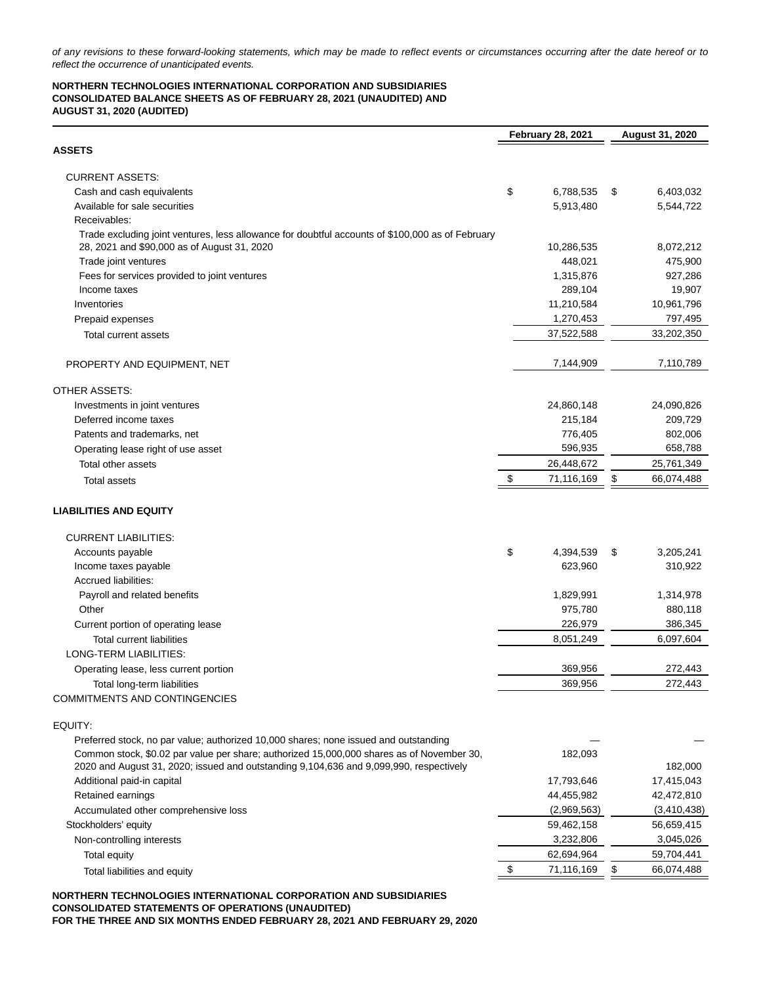of any revisions to these forward-looking statements, which may be made to reflect events or circumstances occurring after the date hereof or to reflect the occurrence of unanticipated events.

### **NORTHERN TECHNOLOGIES INTERNATIONAL CORPORATION AND SUBSIDIARIES CONSOLIDATED BALANCE SHEETS AS OF FEBRUARY 28, 2021 (UNAUDITED) AND AUGUST 31, 2020 (AUDITED)**

|                                                                                                                                                 | <b>February 28, 2021</b> | August 31, 2020             |
|-------------------------------------------------------------------------------------------------------------------------------------------------|--------------------------|-----------------------------|
| <b>ASSETS</b>                                                                                                                                   |                          |                             |
| <b>CURRENT ASSETS:</b>                                                                                                                          |                          |                             |
| Cash and cash equivalents                                                                                                                       | \$<br>6,788,535          | 6,403,032<br>\$             |
| Available for sale securities                                                                                                                   | 5,913,480                | 5,544,722                   |
| Receivables:                                                                                                                                    |                          |                             |
| Trade excluding joint ventures, less allowance for doubtful accounts of \$100,000 as of February<br>28, 2021 and \$90,000 as of August 31, 2020 | 10,286,535               | 8,072,212                   |
| Trade joint ventures                                                                                                                            | 448,021                  | 475,900                     |
| Fees for services provided to joint ventures                                                                                                    | 1,315,876                | 927,286                     |
| Income taxes                                                                                                                                    | 289,104                  | 19,907                      |
| Inventories                                                                                                                                     | 11,210,584               | 10,961,796                  |
| Prepaid expenses                                                                                                                                | 1,270,453                | 797,495                     |
|                                                                                                                                                 | 37,522,588               | 33,202,350                  |
| Total current assets                                                                                                                            |                          |                             |
| PROPERTY AND EQUIPMENT, NET                                                                                                                     | 7,144,909                | 7,110,789                   |
| OTHER ASSETS:                                                                                                                                   |                          |                             |
| Investments in joint ventures                                                                                                                   | 24,860,148               | 24,090,826                  |
| Deferred income taxes                                                                                                                           | 215,184                  | 209,729                     |
| Patents and trademarks, net                                                                                                                     | 776,405                  | 802,006                     |
| Operating lease right of use asset                                                                                                              | 596,935                  | 658,788                     |
| Total other assets                                                                                                                              | 26,448,672               | 25,761,349                  |
| <b>Total assets</b>                                                                                                                             | \$<br>71,116,169         | \$<br>66,074,488            |
| <b>LIABILITIES AND EQUITY</b>                                                                                                                   |                          |                             |
| <b>CURRENT LIABILITIES:</b>                                                                                                                     |                          |                             |
| Accounts payable                                                                                                                                | \$<br>4,394,539          | 3,205,241<br>\$             |
| Income taxes payable                                                                                                                            | 623,960                  | 310,922                     |
| Accrued liabilities:                                                                                                                            |                          |                             |
| Payroll and related benefits                                                                                                                    | 1,829,991                | 1,314,978                   |
| Other                                                                                                                                           | 975,780                  | 880,118                     |
| Current portion of operating lease                                                                                                              | 226,979                  | 386,345                     |
| <b>Total current liabilities</b>                                                                                                                | 8,051,249                | 6,097,604                   |
| LONG-TERM LIABILITIES:                                                                                                                          |                          |                             |
| Operating lease, less current portion                                                                                                           | 369,956                  | 272,443                     |
| Total long-term liabilities                                                                                                                     | 369,956                  | 272,443                     |
| <b>COMMITMENTS AND CONTINGENCIES</b>                                                                                                            |                          |                             |
| EQUITY:                                                                                                                                         |                          |                             |
| Preferred stock, no par value; authorized 10,000 shares; none issued and outstanding                                                            |                          |                             |
| Common stock, \$0.02 par value per share; authorized 15,000,000 shares as of November 30,                                                       | 182,093                  |                             |
| 2020 and August 31, 2020; issued and outstanding 9,104,636 and 9,099,990, respectively                                                          |                          | 182,000                     |
| Additional paid-in capital                                                                                                                      | 17,793,646               | 17,415,043                  |
| Retained earnings                                                                                                                               | 44,455,982               | 42,472,810                  |
| Accumulated other comprehensive loss                                                                                                            | (2,969,563)              | (3,410,438)                 |
| Stockholders' equity                                                                                                                            | 59,462,158               | 56,659,415                  |
| Non-controlling interests                                                                                                                       | 3,232,806                | 3,045,026                   |
| Total equity                                                                                                                                    | 62,694,964               | 59,704,441                  |
| Total liabilities and equity                                                                                                                    | 71,116,169               | $\frac{1}{2}$<br>66,074,488 |

**NORTHERN TECHNOLOGIES INTERNATIONAL CORPORATION AND SUBSIDIARIES CONSOLIDATED STATEMENTS OF OPERATIONS (UNAUDITED) FOR THE THREE AND SIX MONTHS ENDED FEBRUARY 28, 2021 AND FEBRUARY 29, 2020**